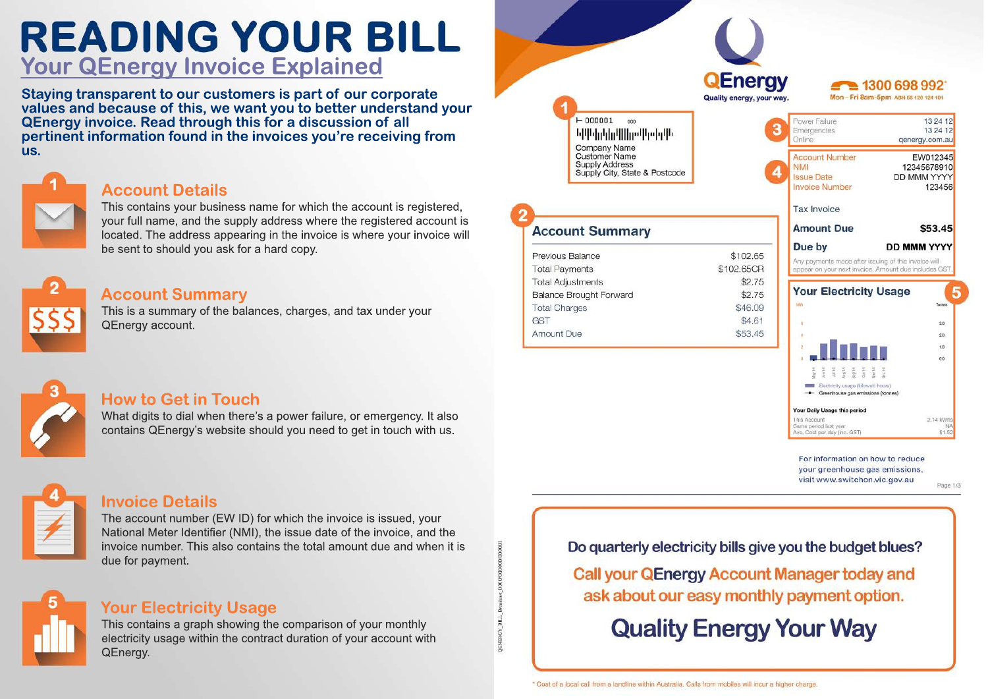# **READING YOUR BILL Your QEnergy Invoice Explained**

**Staying transparent to our customers is part of our corporate** values and because of this, we want you to better understand your **QEnergy invoice. Read through this for a discussion of all pertinent information found in the invoices you're receiving from us.**

## **Account Details**

This contains your business name for which the account is registered. your full name, and the supply address where the registered account is located. The address appearing in the invoice is where your invoice will be sent to should you ask for a hard copy.

#### **Account Summary**

This is a summary of the balances, charges, and tax under your QEnergy account.



#### **How to Get in Touch**

What digits to dial when there's a power failure, or emergency. It also contains QEnergy's website should you need to get in touch with us.



#### **Invoice Details**

The account number (EW ID) for which the invoice is issued, your National Meter Identifier (NMI), the issue date of the invoice, and the invoice number. This also contains the total amount due and when it is due for payment.

### **Your Electricity Usage**

This contains a graph showing the comparison of your monthly electricity usage within the contract duration of your account with QEnergy.

**QEnerav** 1300 698 992 Mon-Fri 8am-5pm ABN 58 120 124 101 Quality energy, your way  $-000001$  $000$ **ԵՍԻնքնաՍնաՍիշնըն** Company Name **Customer Name** Supply Address Supply City, State & Postcode

#### **Account Summary** Previous Balance \$102.65 **Total Payments** \$102,65CB **Total Adjustments** \$2.75 **Balance Brought Forward** \$2.75 **Total Charges** \$46.09 **GST** \$4.61 Amount Due \$53.45

| Power Failure<br>Emergencies                                                                                                      | 13 24 12<br>13 24 12                                  |
|-----------------------------------------------------------------------------------------------------------------------------------|-------------------------------------------------------|
| Online                                                                                                                            | genergy.com.au                                        |
| <b>Account Number</b>                                                                                                             | EW012345                                              |
| <b>NMI</b>                                                                                                                        | 12345678910                                           |
| <b>Issue Date</b>                                                                                                                 | DD MMM YYYY                                           |
| <b>Invoice Number</b>                                                                                                             | 123456                                                |
| Tax Invoice                                                                                                                       |                                                       |
| <b>Amount Due</b>                                                                                                                 | \$53.45                                               |
| Due by                                                                                                                            | <b>DD MMM YYYY</b>                                    |
|                                                                                                                                   |                                                       |
|                                                                                                                                   | appear on your next invoice. Amount due includes GST. |
| <b>Your Electricity Usage</b>                                                                                                     |                                                       |
| <b>VATI</b>                                                                                                                       | Tonnes                                                |
| $\sim$ 0                                                                                                                          | 3.0                                                   |
| $-4$                                                                                                                              | $20 -$                                                |
| ेंछे                                                                                                                              | 1.0                                                   |
| $\geq 0$                                                                                                                          | 00                                                    |
|                                                                                                                                   |                                                       |
| Any payments made after issuing of this invoice will<br>Electricity usage (kilowatt hours)<br>- Greenhouse gas emissions (tonnes) |                                                       |
|                                                                                                                                   |                                                       |
| Your Daily Usage this period<br>This Account<br>Same period last year                                                             | 2.14 kWhs<br><b>NA</b>                                |

For information on how to reduce your greenhouse gas emissions, visit www.switchon.vic.gov.au

Page 1/3

Do quarterly electricity bills give you the budget blues?

**Call your QEnergy Account Manager today and** ask about our easy monthly payment option.

**Quality Energy Your Way**